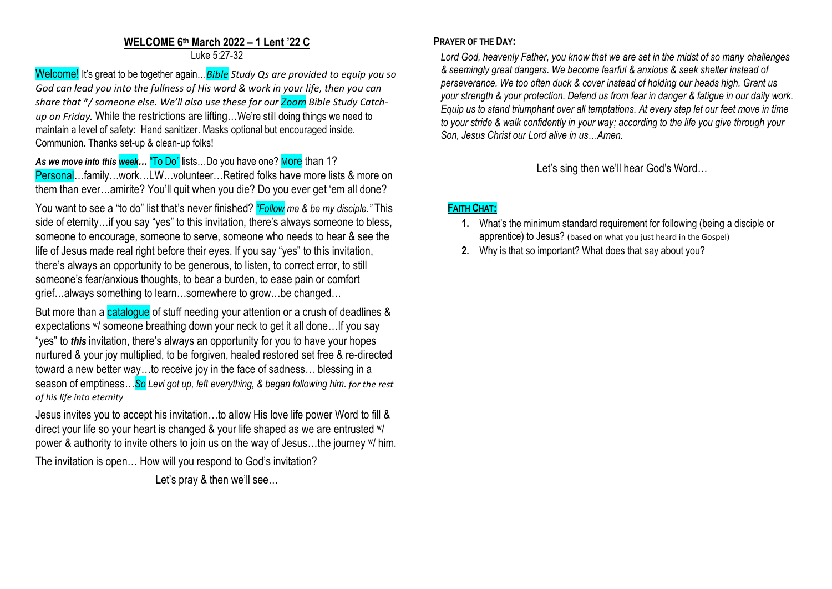### **WELCOME 6 th March 2022 – 1 Lent '22 C** Luke 5:27-32

Welcome! It's great to be together again…*Bible Study Qs are provided to equip you so God can lead you into the fullness of His word & work in your life, then you can share that <sup>w</sup> / someone else. We'll also use these for our Zoom Bible Study Catchup on Friday.* While the restrictions are lifting…We're still doing things we need to maintain a level of safety: Hand sanitizer. Masks optional but encouraged inside. Communion. Thanks set-up & clean-up folks!

As we move into this week... "To Do" lists...Do you have one? More than 1? Personal…family…work…LW…volunteer…Retired folks have more lists & more on them than ever…amirite? You'll quit when you die? Do you ever get 'em all done?

You want to see a "to do" list that's never finished? *"Follow me & be my disciple."* This side of eternity…if you say "yes" to this invitation, there's always someone to bless, someone to encourage, someone to serve, someone who needs to hear & see the life of Jesus made real right before their eyes. If you say "yes" to this invitation, there's always an opportunity to be generous, to listen, to correct error, to still someone's fear/anxious thoughts, to bear a burden, to ease pain or comfort grief…always something to learn…somewhere to grow…be changed…

But more than a catalogue of stuff needing your attention or a crush of deadlines & expectations w/ someone breathing down your neck to get it all done…If you say "yes" to *this* invitation, there's always an opportunity for you to have your hopes nurtured & your joy multiplied, to be forgiven, healed restored set free & re-directed toward a new better way...to receive joy in the face of sadness... blessing in a season of emptiness…*So Levi got up, left everything, & began following him. for the rest of his life into eternity*

Jesus invites you to accept his invitation…to allow His love life power Word to fill & direct your life so your heart is changed & your life shaped as we are entrusted  $W$ power & authority to invite others to join us on the way of Jesus…the journey w/ him.

The invitation is open… How will you respond to God's invitation?

Let's pray & then we'll see...

## **PRAYER OF THE DAY:**

*Lord God, heavenly Father, you know that we are set in the midst of so many challenges & seemingly great dangers. We become fearful & anxious & seek shelter instead of perseverance. We too often duck & cover instead of holding our heads high. Grant us your strength & your protection. Defend us from fear in danger & fatigue in our daily work. Equip us to stand triumphant over all temptations. At every step let our feet move in time to your stride & walk confidently in your way; according to the life you give through your Son, Jesus Christ our Lord alive in us…Amen.*

Let's sing then we'll hear God's Word…

# **FAITH CHAT:**

- **1.** What's the minimum standard requirement for following (being a disciple or apprentice) to Jesus? (based on what you just heard in the Gospel)
- **2.** Why is that so important? What does that say about you?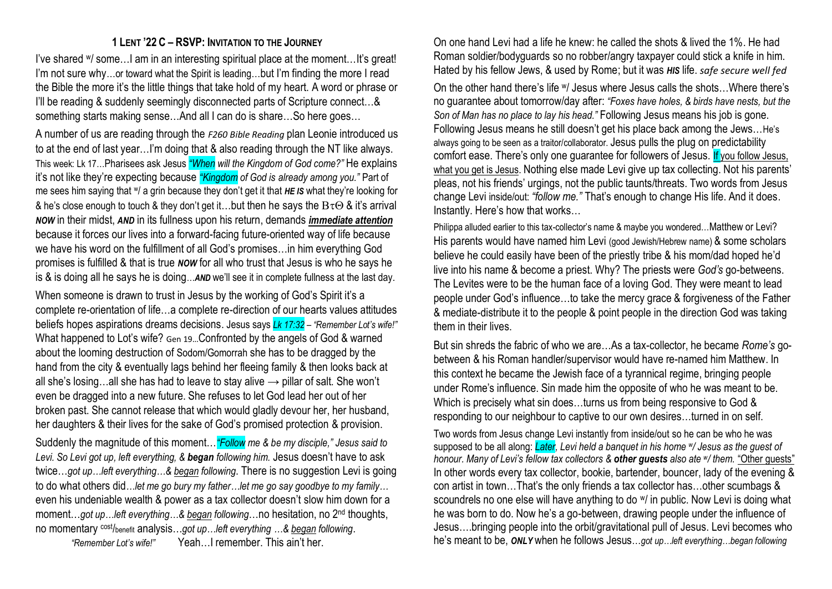## **1 LENT '22 C – RSVP: INVITATION TO THE JOURNEY**

I've shared W/ some...I am in an interesting spiritual place at the moment...It's great! I'm not sure why…or toward what the Spirit is leading…but I'm finding the more I read the Bible the more it's the little things that take hold of my heart. A word or phrase or I'll be reading & suddenly seemingly disconnected parts of Scripture connect…& something starts making sense…And all I can do is share…So here goes…

A number of us are reading through the *F260 Bible Reading* plan Leonie introduced us to at the end of last year…I'm doing that & also reading through the NT like always. This week: Lk 17…Pharisees ask Jesus *"When will the Kingdom of God come?"* He explains it's not like they're expecting because *"Kingdom of God is already among you."* Part of me sees him saying that <sup>w</sup>/ a grin because they don't get it that HE IS what they're looking for & he's close enough to touch & they don't get it...but then he says the  $B\tau\Theta$  & it's arrival *NOW* in their midst, *AND* in its fullness upon his return, demands *immediate attention* because it forces our lives into a forward-facing future-oriented way of life because we have his word on the fulfillment of all God's promises…in him everything God promises is fulfilled & that is true *NOW* for all who trust that Jesus is who he says he is & is doing all he says he is doing…*AND* we'll see it in complete fullness at the last day.

When someone is drawn to trust in Jesus by the working of God's Spirit it's a complete re-orientation of life…a complete re-direction of our hearts values attitudes beliefs hopes aspirations dreams decisions. Jesus says *Lk 17:32 – "Remember Lot's wife!"* What happened to Lot's wife? Gen 19…Confronted by the angels of God & warned about the looming destruction of Sodom/Gomorrah she has to be dragged by the hand from the city & eventually lags behind her fleeing family & then looks back at all she's losing...all she has had to leave to stay alive  $\rightarrow$  pillar of salt. She won't even be dragged into a new future. She refuses to let God lead her out of her broken past. She cannot release that which would gladly devour her, her husband, her daughters & their lives for the sake of God's promised protection & provision.

Suddenly the magnitude of this moment…*"Follow me & be my disciple," Jesus said to Levi. So Levi got up, left everything, & began following him.* Jesus doesn't have to ask twice…*got up…left everything…& began following*. There is no suggestion Levi is going to do what others did*…let me go bury my father…let me go say goodbye to my family…* even his undeniable wealth & power as a tax collector doesn't slow him down for a moment...got up...left everything...& began following...no hesitation, no 2<sup>nd</sup> thoughts, no momentary cost/benefit analysis…*got up…left everything …& began following*.

*"Remember Lot's wife!"* Yeah…I remember. This ain't her.

On one hand Levi had a life he knew: he called the shots & lived the 1%. He had Roman soldier/bodyguards so no robber/angry taxpayer could stick a knife in him. Hated by his fellow Jews, & used by Rome; but it was *HIS* life. *safe secure well fed*

On the other hand there's life w/ Jesus where Jesus calls the shots…Where there's no guarantee about tomorrow/day after: *"Foxes have holes, & birds have nests, but the Son of Man has no place to lay his head."* Following Jesus means his job is gone. Following Jesus means he still doesn't get his place back among the Jews…He's always going to be seen as a traitor/collaborator. Jesus pulls the plug on predictability comfort ease. There's only one guarantee for followers of Jesus. If you follow Jesus, what you get is Jesus. Nothing else made Levi give up tax collecting. Not his parents' pleas, not his friends' urgings, not the public taunts/threats. Two words from Jesus change Levi inside/out: *"follow me."* That's enough to change His life. And it does. Instantly. Here's how that works…

Philippa alluded earlier to this tax-collector's name & maybe you wondered... Matthew or Levi? His parents would have named him Levi (good Jewish/Hebrew name) & some scholars believe he could easily have been of the priestly tribe & his mom/dad hoped he'd live into his name & become a priest. Why? The priests were *God's* go-betweens. The Levites were to be the human face of a loving God. They were meant to lead people under God's influence…to take the mercy grace & forgiveness of the Father & mediate-distribute it to the people & point people in the direction God was taking them in their lives.

But sin shreds the fabric of who we are…As a tax-collector, he became *Rome's* gobetween & his Roman handler/supervisor would have re-named him Matthew. In this context he became the Jewish face of a tyrannical regime, bringing people under Rome's influence. Sin made him the opposite of who he was meant to be. Which is precisely what sin does...turns us from being responsive to God & responding to our neighbour to captive to our own desires…turned in on self.

Two words from Jesus change Levi instantly from inside/out so he can be who he was supposed to be all along: *Later, Levi held a banquet in his home <sup>w</sup> / Jesus as the guest of honour. Many of Levi's fellow tax collectors & other guests also ate <sup>w</sup> / them.* "Other guests" In other words every tax collector, bookie, bartender, bouncer, lady of the evening & con artist in town…That's the only friends a tax collector has…other scumbags & scoundrels no one else will have anything to do  $w$  in public. Now Levi is doing what he was born to do. Now he's a go-between, drawing people under the influence of Jesus….bringing people into the orbit/gravitational pull of Jesus. Levi becomes who he's meant to be, *ONLY* when he follows Jesus…*got up…left everything…began following*